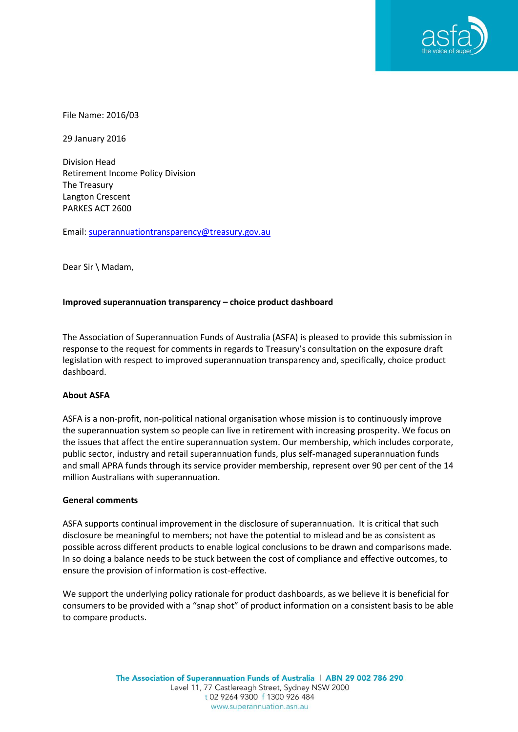

File Name: 2016/03

29 January 2016

Division Head Retirement Income Policy Division The Treasury Langton Crescent PARKES ACT 2600

Email: [superannuationtransparency@treasury.gov.au](mailto:superannuationtransparency@treasury.gov.au)

Dear Sir \ Madam,

# **Improved superannuation transparency – choice product dashboard**

The Association of Superannuation Funds of Australia (ASFA) is pleased to provide this submission in response to the request for comments in regards to Treasury's consultation on the exposure draft legislation with respect to improved superannuation transparency and, specifically, choice product dashboard.

# **About ASFA**

ASFA is a non-profit, non-political national organisation whose mission is to continuously improve the superannuation system so people can live in retirement with increasing prosperity. We focus on the issues that affect the entire superannuation system. Our membership, which includes corporate, public sector, industry and retail superannuation funds, plus self-managed superannuation funds and small APRA funds through its service provider membership, represent over 90 per cent of the 14 million Australians with superannuation.

### **General comments**

ASFA supports continual improvement in the disclosure of superannuation. It is critical that such disclosure be meaningful to members; not have the potential to mislead and be as consistent as possible across different products to enable logical conclusions to be drawn and comparisons made. In so doing a balance needs to be stuck between the cost of compliance and effective outcomes, to ensure the provision of information is cost-effective.

We support the underlying policy rationale for product dashboards, as we believe it is beneficial for consumers to be provided with a "snap shot" of product information on a consistent basis to be able to compare products.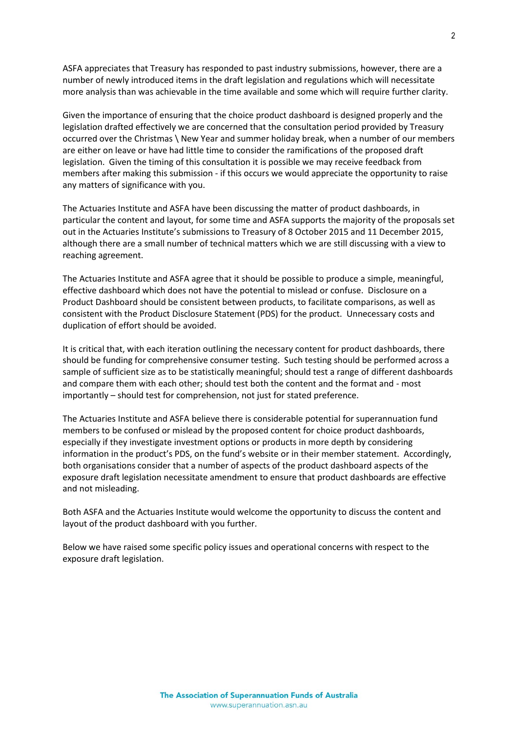ASFA appreciates that Treasury has responded to past industry submissions, however, there are a number of newly introduced items in the draft legislation and regulations which will necessitate more analysis than was achievable in the time available and some which will require further clarity.

Given the importance of ensuring that the choice product dashboard is designed properly and the legislation drafted effectively we are concerned that the consultation period provided by Treasury occurred over the Christmas \ New Year and summer holiday break, when a number of our members are either on leave or have had little time to consider the ramifications of the proposed draft legislation. Given the timing of this consultation it is possible we may receive feedback from members after making this submission - if this occurs we would appreciate the opportunity to raise any matters of significance with you.

The Actuaries Institute and ASFA have been discussing the matter of product dashboards, in particular the content and layout, for some time and ASFA supports the majority of the proposals set out in the Actuaries Institute's submissions to Treasury of 8 October 2015 and 11 December 2015, although there are a small number of technical matters which we are still discussing with a view to reaching agreement.

The Actuaries Institute and ASFA agree that it should be possible to produce a simple, meaningful, effective dashboard which does not have the potential to mislead or confuse. Disclosure on a Product Dashboard should be consistent between products, to facilitate comparisons, as well as consistent with the Product Disclosure Statement (PDS) for the product. Unnecessary costs and duplication of effort should be avoided.

It is critical that, with each iteration outlining the necessary content for product dashboards, there should be funding for comprehensive consumer testing. Such testing should be performed across a sample of sufficient size as to be statistically meaningful; should test a range of different dashboards and compare them with each other; should test both the content and the format and - most importantly – should test for comprehension, not just for stated preference.

The Actuaries Institute and ASFA believe there is considerable potential for superannuation fund members to be confused or mislead by the proposed content for choice product dashboards, especially if they investigate investment options or products in more depth by considering information in the product's PDS, on the fund's website or in their member statement. Accordingly, both organisations consider that a number of aspects of the product dashboard aspects of the exposure draft legislation necessitate amendment to ensure that product dashboards are effective and not misleading.

Both ASFA and the Actuaries Institute would welcome the opportunity to discuss the content and layout of the product dashboard with you further.

Below we have raised some specific policy issues and operational concerns with respect to the exposure draft legislation.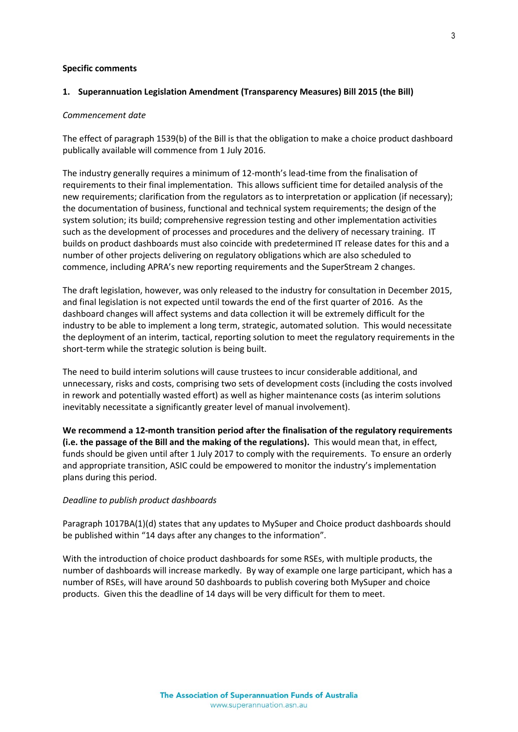#### **Specific comments**

#### **1. Superannuation Legislation Amendment (Transparency Measures) Bill 2015 (the Bill)**

#### *Commencement date*

The effect of paragraph 1539(b) of the Bill is that the obligation to make a choice product dashboard publically available will commence from 1 July 2016.

The industry generally requires a minimum of 12-month's lead-time from the finalisation of requirements to their final implementation. This allows sufficient time for detailed analysis of the new requirements; clarification from the regulators as to interpretation or application (if necessary); the documentation of business, functional and technical system requirements; the design of the system solution; its build; comprehensive regression testing and other implementation activities such as the development of processes and procedures and the delivery of necessary training. IT builds on product dashboards must also coincide with predetermined IT release dates for this and a number of other projects delivering on regulatory obligations which are also scheduled to commence, including APRA's new reporting requirements and the SuperStream 2 changes.

The draft legislation, however, was only released to the industry for consultation in December 2015, and final legislation is not expected until towards the end of the first quarter of 2016. As the dashboard changes will affect systems and data collection it will be extremely difficult for the industry to be able to implement a long term, strategic, automated solution. This would necessitate the deployment of an interim, tactical, reporting solution to meet the regulatory requirements in the short-term while the strategic solution is being built.

The need to build interim solutions will cause trustees to incur considerable additional, and unnecessary, risks and costs, comprising two sets of development costs (including the costs involved in rework and potentially wasted effort) as well as higher maintenance costs (as interim solutions inevitably necessitate a significantly greater level of manual involvement).

**We recommend a 12-month transition period after the finalisation of the regulatory requirements (i.e. the passage of the Bill and the making of the regulations).** This would mean that, in effect, funds should be given until after 1 July 2017 to comply with the requirements. To ensure an orderly and appropriate transition, ASIC could be empowered to monitor the industry's implementation plans during this period.

#### *Deadline to publish product dashboards*

Paragraph 1017BA(1)(d) states that any updates to MySuper and Choice product dashboards should be published within "14 days after any changes to the information".

With the introduction of choice product dashboards for some RSEs, with multiple products, the number of dashboards will increase markedly. By way of example one large participant, which has a number of RSEs, will have around 50 dashboards to publish covering both MySuper and choice products. Given this the deadline of 14 days will be very difficult for them to meet.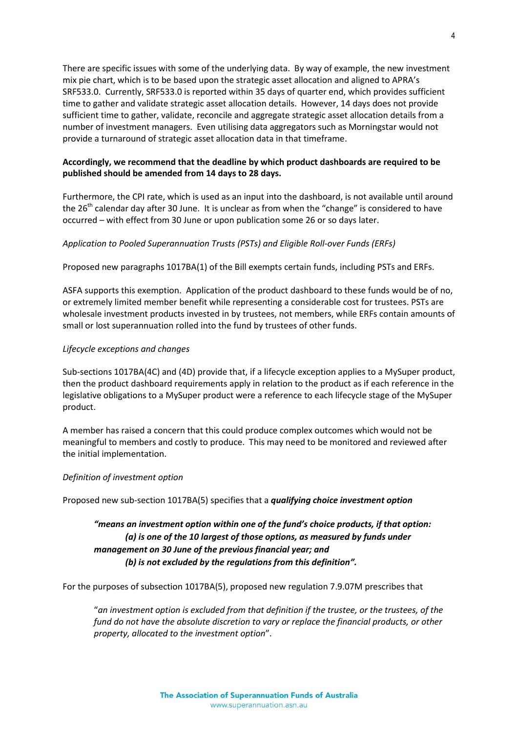There are specific issues with some of the underlying data. By way of example, the new investment mix pie chart, which is to be based upon the strategic asset allocation and aligned to APRA's SRF533.0. Currently, SRF533.0 is reported within 35 days of quarter end, which provides sufficient time to gather and validate strategic asset allocation details. However, 14 days does not provide sufficient time to gather, validate, reconcile and aggregate strategic asset allocation details from a number of investment managers. Even utilising data aggregators such as Morningstar would not provide a turnaround of strategic asset allocation data in that timeframe.

# **Accordingly, we recommend that the deadline by which product dashboards are required to be published should be amended from 14 days to 28 days.**

Furthermore, the CPI rate, which is used as an input into the dashboard, is not available until around the 26<sup>th</sup> calendar day after 30 June. It is unclear as from when the "change" is considered to have occurred – with effect from 30 June or upon publication some 26 or so days later.

# *Application to Pooled Superannuation Trusts (PSTs) and Eligible Roll-over Funds (ERFs)*

Proposed new paragraphs 1017BA(1) of the Bill exempts certain funds, including PSTs and ERFs.

ASFA supports this exemption. Application of the product dashboard to these funds would be of no, or extremely limited member benefit while representing a considerable cost for trustees. PSTs are wholesale investment products invested in by trustees, not members, while ERFs contain amounts of small or lost superannuation rolled into the fund by trustees of other funds.

# *Lifecycle exceptions and changes*

Sub-sections 1017BA(4C) and (4D) provide that, if a lifecycle exception applies to a MySuper product, then the product dashboard requirements apply in relation to the product as if each reference in the legislative obligations to a MySuper product were a reference to each lifecycle stage of the MySuper product.

A member has raised a concern that this could produce complex outcomes which would not be meaningful to members and costly to produce. This may need to be monitored and reviewed after the initial implementation.

# *Definition of investment option*

Proposed new sub-section 1017BA(5) specifies that a *qualifying choice investment option*

# *"means an investment option within one of the fund's choice products, if that option: (a) is one of the 10 largest of those options, as measured by funds under management on 30 June of the previous financial year; and (b) is not excluded by the regulations from this definition".*

For the purposes of subsection 1017BA(5), proposed new regulation 7.9.07M prescribes that

"*an investment option is excluded from that definition if the trustee, or the trustees, of the fund do not have the absolute discretion to vary or replace the financial products, or other property, allocated to the investment option*".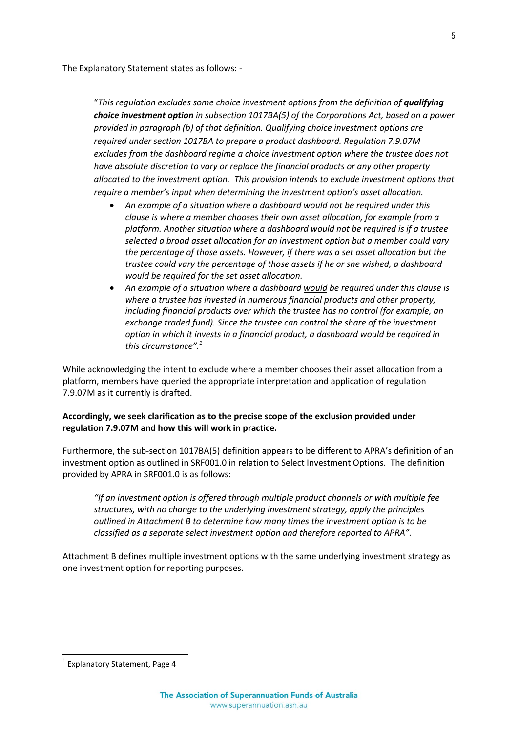The Explanatory Statement states as follows: -

"*This regulation excludes some choice investment options from the definition of qualifying choice investment option in subsection 1017BA(5) of the Corporations Act, based on a power provided in paragraph (b) of that definition. Qualifying choice investment options are required under section 1017BA to prepare a product dashboard. Regulation 7.9.07M excludes from the dashboard regime a choice investment option where the trustee does not have absolute discretion to vary or replace the financial products or any other property allocated to the investment option. This provision intends to exclude investment options that require a member's input when determining the investment option's asset allocation.*

- *An example of a situation where a dashboard would not be required under this clause is where a member chooses their own asset allocation, for example from a platform. Another situation where a dashboard would not be required is if a trustee selected a broad asset allocation for an investment option but a member could vary the percentage of those assets. However, if there was a set asset allocation but the trustee could vary the percentage of those assets if he or she wished, a dashboard would be required for the set asset allocation.*
- *An example of a situation where a dashboard would be required under this clause is where a trustee has invested in numerous financial products and other property, including financial products over which the trustee has no control (for example, an exchange traded fund). Since the trustee can control the share of the investment option in which it invests in a financial product, a dashboard would be required in this circumstance". 1*

While acknowledging the intent to exclude where a member chooses their asset allocation from a platform, members have queried the appropriate interpretation and application of regulation 7.9.07M as it currently is drafted.

# **Accordingly, we seek clarification as to the precise scope of the exclusion provided under regulation 7.9.07M and how this will work in practice.**

Furthermore, the sub-section 1017BA(5) definition appears to be different to APRA's definition of an investment option as outlined in SRF001.0 in relation to Select Investment Options. The definition provided by APRA in SRF001.0 is as follows:

*"If an investment option is offered through multiple product channels or with multiple fee structures, with no change to the underlying investment strategy, apply the principles outlined in Attachment B to determine how many times the investment option is to be classified as a separate select investment option and therefore reported to APRA".*

Attachment B defines multiple investment options with the same underlying investment strategy as one investment option for reporting purposes.

1

<sup>&</sup>lt;sup>1</sup> Explanatory Statement, Page 4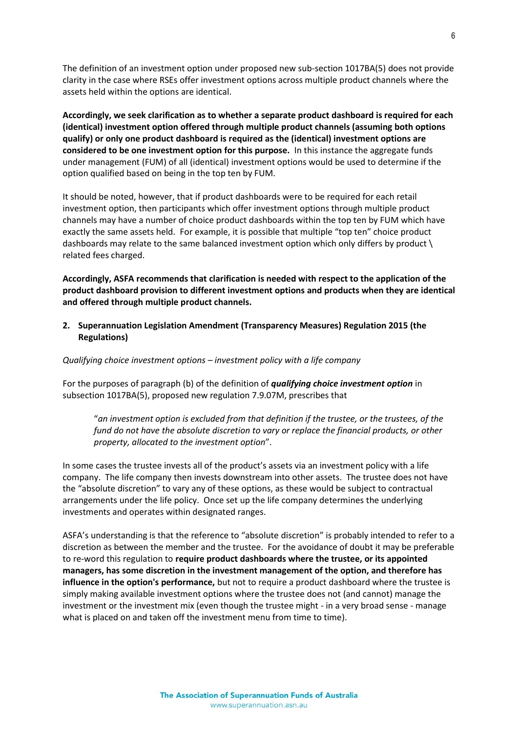The definition of an investment option under proposed new sub-section 1017BA(5) does not provide clarity in the case where RSEs offer investment options across multiple product channels where the assets held within the options are identical.

**Accordingly, we seek clarification as to whether a separate product dashboard is required for each (identical) investment option offered through multiple product channels (assuming both options qualify) or only one product dashboard is required as the (identical) investment options are considered to be one investment option for this purpose.** In this instance the aggregate funds under management (FUM) of all (identical) investment options would be used to determine if the option qualified based on being in the top ten by FUM.

It should be noted, however, that if product dashboards were to be required for each retail investment option, then participants which offer investment options through multiple product channels may have a number of choice product dashboards within the top ten by FUM which have exactly the same assets held. For example, it is possible that multiple "top ten" choice product dashboards may relate to the same balanced investment option which only differs by product \ related fees charged.

**Accordingly, ASFA recommends that clarification is needed with respect to the application of the product dashboard provision to different investment options and products when they are identical and offered through multiple product channels.**

**2. Superannuation Legislation Amendment (Transparency Measures) Regulation 2015 (the Regulations)**

*Qualifying choice investment options – investment policy with a life company*

For the purposes of paragraph (b) of the definition of *qualifying choice investment option* in subsection 1017BA(5), proposed new regulation 7.9.07M, prescribes that

"*an investment option is excluded from that definition if the trustee, or the trustees, of the fund do not have the absolute discretion to vary or replace the financial products, or other property, allocated to the investment option*".

In some cases the trustee invests all of the product's assets via an investment policy with a life company. The life company then invests downstream into other assets. The trustee does not have the "absolute discretion" to vary any of these options, as these would be subject to contractual arrangements under the life policy. Once set up the life company determines the underlying investments and operates within designated ranges.

ASFA's understanding is that the reference to "absolute discretion" is probably intended to refer to a discretion as between the member and the trustee. For the avoidance of doubt it may be preferable to re-word this regulation to **require product dashboards where the trustee, or its appointed managers, has some discretion in the investment management of the option, and therefore has influence in the option's performance,** but not to require a product dashboard where the trustee is simply making available investment options where the trustee does not (and cannot) manage the investment or the investment mix (even though the trustee might - in a very broad sense - manage what is placed on and taken off the investment menu from time to time).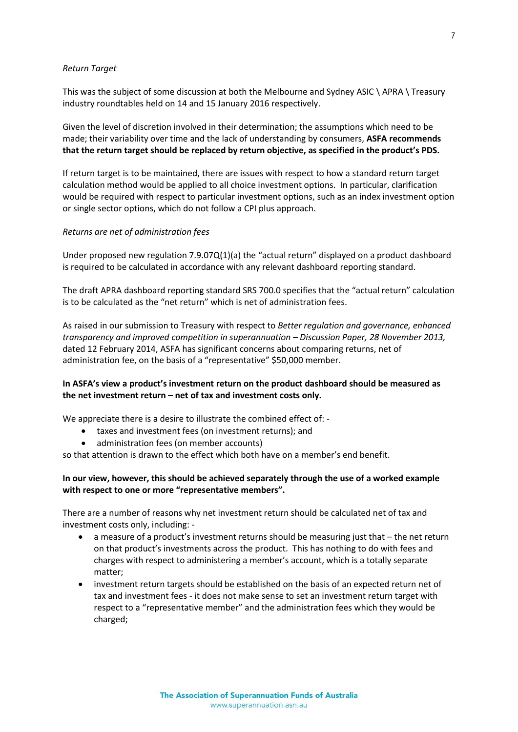#### *Return Target*

This was the subject of some discussion at both the Melbourne and Sydney ASIC \ APRA \ Treasury industry roundtables held on 14 and 15 January 2016 respectively.

Given the level of discretion involved in their determination; the assumptions which need to be made; their variability over time and the lack of understanding by consumers, **ASFA recommends that the return target should be replaced by return objective, as specified in the product's PDS.**

If return target is to be maintained, there are issues with respect to how a standard return target calculation method would be applied to all choice investment options. In particular, clarification would be required with respect to particular investment options, such as an index investment option or single sector options, which do not follow a CPI plus approach.

### *Returns are net of administration fees*

Under proposed new regulation 7.9.07Q(1)(a) the "actual return" displayed on a product dashboard is required to be calculated in accordance with any relevant dashboard reporting standard.

The draft APRA dashboard reporting standard SRS 700.0 specifies that the "actual return" calculation is to be calculated as the "net return" which is net of administration fees.

As raised in our submission to Treasury with respect to *Better regulation and governance, enhanced transparency and improved competition in superannuation – Discussion Paper, 28 November 2013,*  dated 12 February 2014, ASFA has significant concerns about comparing returns, net of administration fee, on the basis of a "representative" \$50,000 member.

# **In ASFA's view a product's investment return on the product dashboard should be measured as the net investment return – net of tax and investment costs only.**

We appreciate there is a desire to illustrate the combined effect of: -

- taxes and investment fees (on investment returns); and
- administration fees (on member accounts)

so that attention is drawn to the effect which both have on a member's end benefit.

### **In our view, however, this should be achieved separately through the use of a worked example with respect to one or more "representative members".**

There are a number of reasons why net investment return should be calculated net of tax and investment costs only, including: -

- a measure of a product's investment returns should be measuring just that the net return on that product's investments across the product. This has nothing to do with fees and charges with respect to administering a member's account, which is a totally separate matter;
- investment return targets should be established on the basis of an expected return net of tax and investment fees - it does not make sense to set an investment return target with respect to a "representative member" and the administration fees which they would be charged;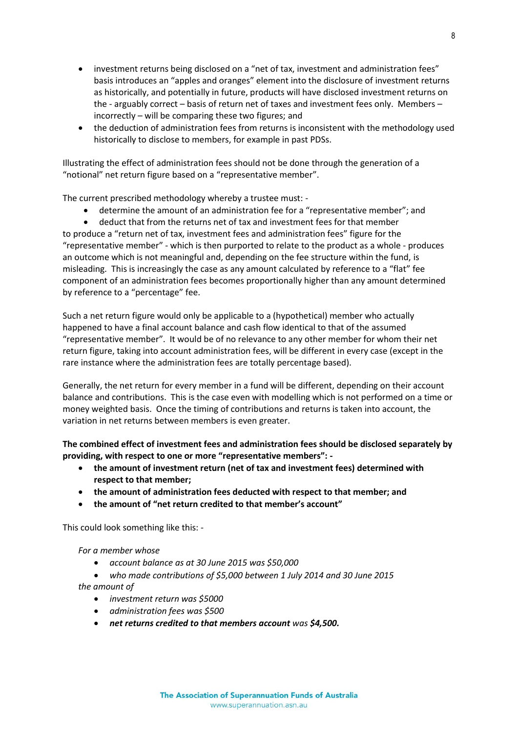- investment returns being disclosed on a "net of tax, investment and administration fees" basis introduces an "apples and oranges" element into the disclosure of investment returns as historically, and potentially in future, products will have disclosed investment returns on the - arguably correct – basis of return net of taxes and investment fees only. Members – incorrectly – will be comparing these two figures; and
- the deduction of administration fees from returns is inconsistent with the methodology used historically to disclose to members, for example in past PDSs.

Illustrating the effect of administration fees should not be done through the generation of a "notional" net return figure based on a "representative member".

The current prescribed methodology whereby a trustee must: -

- determine the amount of an administration fee for a "representative member"; and
- deduct that from the returns net of tax and investment fees for that member

to produce a "return net of tax, investment fees and administration fees" figure for the "representative member" - which is then purported to relate to the product as a whole - produces an outcome which is not meaningful and, depending on the fee structure within the fund, is misleading. This is increasingly the case as any amount calculated by reference to a "flat" fee component of an administration fees becomes proportionally higher than any amount determined by reference to a "percentage" fee.

Such a net return figure would only be applicable to a (hypothetical) member who actually happened to have a final account balance and cash flow identical to that of the assumed "representative member". It would be of no relevance to any other member for whom their net return figure, taking into account administration fees, will be different in every case (except in the rare instance where the administration fees are totally percentage based).

Generally, the net return for every member in a fund will be different, depending on their account balance and contributions. This is the case even with modelling which is not performed on a time or money weighted basis. Once the timing of contributions and returns is taken into account, the variation in net returns between members is even greater.

**The combined effect of investment fees and administration fees should be disclosed separately by providing, with respect to one or more "representative members": -**

- **the amount of investment return (net of tax and investment fees) determined with respect to that member;**
- **the amount of administration fees deducted with respect to that member; and**
- **the amount of "net return credited to that member's account"**

This could look something like this: -

*For a member whose*

- *account balance as at 30 June 2015 was \$50,000*
- *who made contributions of \$5,000 between 1 July 2014 and 30 June 2015*

*the amount of*

- *investment return was \$5000*
- *administration fees was \$500*
- *net returns credited to that members account was \$4,500.*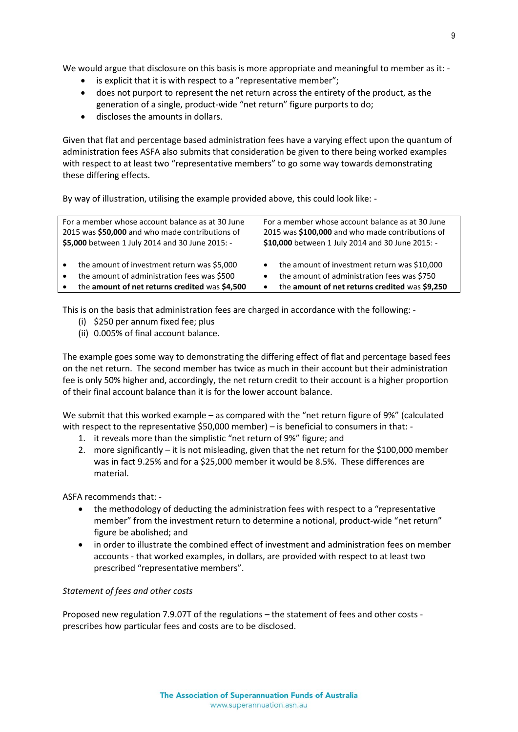We would argue that disclosure on this basis is more appropriate and meaningful to member as it: -

- is explicit that it is with respect to a "representative member";
- does not purport to represent the net return across the entirety of the product, as the generation of a single, product-wide "net return" figure purports to do;
- discloses the amounts in dollars.

Given that flat and percentage based administration fees have a varying effect upon the quantum of administration fees ASFA also submits that consideration be given to there being worked examples with respect to at least two "representative members" to go some way towards demonstrating these differing effects.

By way of illustration, utilising the example provided above, this could look like: -

| For a member whose account balance as at 30 June                                                                                                                       | For a member whose account balance as at 30 June                                                                                                                             |
|------------------------------------------------------------------------------------------------------------------------------------------------------------------------|------------------------------------------------------------------------------------------------------------------------------------------------------------------------------|
| 2015 was \$50,000 and who made contributions of                                                                                                                        | 2015 was \$100,000 and who made contributions of                                                                                                                             |
| \$5,000 between 1 July 2014 and 30 June 2015: -                                                                                                                        | \$10,000 between 1 July 2014 and 30 June 2015: -                                                                                                                             |
| the amount of investment return was \$5,000<br>$\bullet$<br>the amount of administration fees was \$500<br>$\bullet$<br>the amount of net returns credited was \$4,500 | the amount of investment return was \$10,000<br>$\bullet$<br>the amount of administration fees was \$750<br>٠<br>the amount of net returns credited was \$9,250<br>$\bullet$ |

This is on the basis that administration fees are charged in accordance with the following: -

- (i) \$250 per annum fixed fee; plus
- (ii) 0.005% of final account balance.

The example goes some way to demonstrating the differing effect of flat and percentage based fees on the net return. The second member has twice as much in their account but their administration fee is only 50% higher and, accordingly, the net return credit to their account is a higher proportion of their final account balance than it is for the lower account balance.

We submit that this worked example – as compared with the "net return figure of 9%" (calculated with respect to the representative \$50,000 member) – is beneficial to consumers in that: -

- 1. it reveals more than the simplistic "net return of 9%" figure; and
- 2. more significantly it is not misleading, given that the net return for the \$100,000 member was in fact 9.25% and for a \$25,000 member it would be 8.5%. These differences are material.

ASFA recommends that: -

- the methodology of deducting the administration fees with respect to a "representative member" from the investment return to determine a notional, product-wide "net return" figure be abolished; and
- in order to illustrate the combined effect of investment and administration fees on member accounts - that worked examples, in dollars, are provided with respect to at least two prescribed "representative members".

# *Statement of fees and other costs*

Proposed new regulation 7.9.07T of the regulations – the statement of fees and other costs prescribes how particular fees and costs are to be disclosed.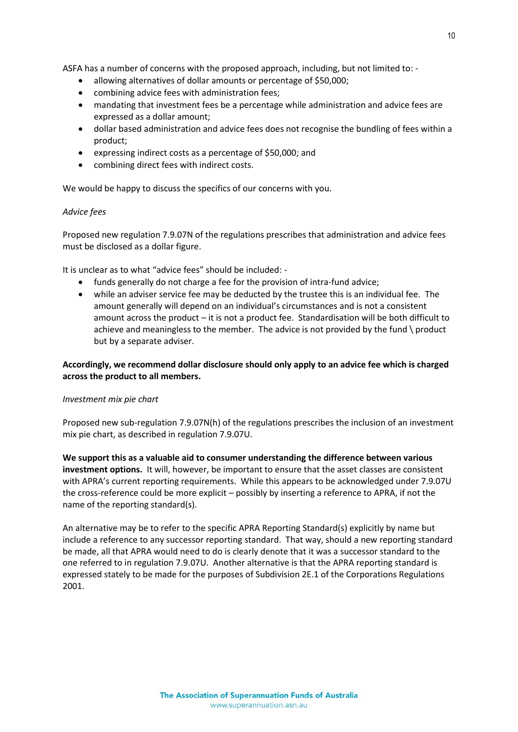ASFA has a number of concerns with the proposed approach, including, but not limited to: -

- allowing alternatives of dollar amounts or percentage of \$50,000;
- combining advice fees with administration fees;
- mandating that investment fees be a percentage while administration and advice fees are expressed as a dollar amount;
- dollar based administration and advice fees does not recognise the bundling of fees within a product;
- expressing indirect costs as a percentage of \$50,000; and
- combining direct fees with indirect costs.

We would be happy to discuss the specifics of our concerns with you.

### *Advice fees*

Proposed new regulation 7.9.07N of the regulations prescribes that administration and advice fees must be disclosed as a dollar figure.

It is unclear as to what "advice fees" should be included: -

- funds generally do not charge a fee for the provision of intra-fund advice;
- while an adviser service fee may be deducted by the trustee this is an individual fee. The amount generally will depend on an individual's circumstances and is not a consistent amount across the product – it is not a product fee. Standardisation will be both difficult to achieve and meaningless to the member. The advice is not provided by the fund \ product but by a separate adviser.

# **Accordingly, we recommend dollar disclosure should only apply to an advice fee which is charged across the product to all members.**

# *Investment mix pie chart*

Proposed new sub-regulation 7.9.07N(h) of the regulations prescribes the inclusion of an investment mix pie chart, as described in regulation 7.9.07U.

**We support this as a valuable aid to consumer understanding the difference between various investment options.** It will, however, be important to ensure that the asset classes are consistent with APRA's current reporting requirements. While this appears to be acknowledged under 7.9.07U the cross-reference could be more explicit – possibly by inserting a reference to APRA, if not the name of the reporting standard(s).

An alternative may be to refer to the specific APRA Reporting Standard(s) explicitly by name but include a reference to any successor reporting standard. That way, should a new reporting standard be made, all that APRA would need to do is clearly denote that it was a successor standard to the one referred to in regulation 7.9.07U. Another alternative is that the APRA reporting standard is expressed stately to be made for the purposes of Subdivision 2E.1 of the Corporations Regulations 2001.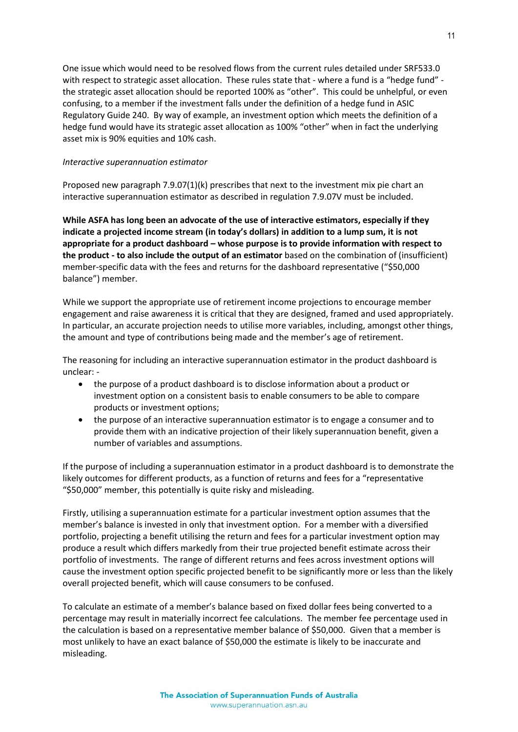One issue which would need to be resolved flows from the current rules detailed under SRF533.0 with respect to strategic asset allocation. These rules state that - where a fund is a "hedge fund" the strategic asset allocation should be reported 100% as "other". This could be unhelpful, or even confusing, to a member if the investment falls under the definition of a hedge fund in ASIC Regulatory Guide 240. By way of example, an investment option which meets the definition of a hedge fund would have its strategic asset allocation as 100% "other" when in fact the underlying asset mix is 90% equities and 10% cash.

#### *Interactive superannuation estimator*

Proposed new paragraph 7.9.07(1)(k) prescribes that next to the investment mix pie chart an interactive superannuation estimator as described in regulation 7.9.07V must be included.

**While ASFA has long been an advocate of the use of interactive estimators, especially if they indicate a projected income stream (in today's dollars) in addition to a lump sum, it is not appropriate for a product dashboard – whose purpose is to provide information with respect to the product - to also include the output of an estimator** based on the combination of (insufficient) member-specific data with the fees and returns for the dashboard representative ("\$50,000 balance") member.

While we support the appropriate use of retirement income projections to encourage member engagement and raise awareness it is critical that they are designed, framed and used appropriately. In particular, an accurate projection needs to utilise more variables, including, amongst other things, the amount and type of contributions being made and the member's age of retirement.

The reasoning for including an interactive superannuation estimator in the product dashboard is unclear: -

- the purpose of a product dashboard is to disclose information about a product or investment option on a consistent basis to enable consumers to be able to compare products or investment options;
- the purpose of an interactive superannuation estimator is to engage a consumer and to provide them with an indicative projection of their likely superannuation benefit, given a number of variables and assumptions.

If the purpose of including a superannuation estimator in a product dashboard is to demonstrate the likely outcomes for different products, as a function of returns and fees for a "representative "\$50,000" member, this potentially is quite risky and misleading.

Firstly, utilising a superannuation estimate for a particular investment option assumes that the member's balance is invested in only that investment option. For a member with a diversified portfolio, projecting a benefit utilising the return and fees for a particular investment option may produce a result which differs markedly from their true projected benefit estimate across their portfolio of investments. The range of different returns and fees across investment options will cause the investment option specific projected benefit to be significantly more or less than the likely overall projected benefit, which will cause consumers to be confused.

To calculate an estimate of a member's balance based on fixed dollar fees being converted to a percentage may result in materially incorrect fee calculations. The member fee percentage used in the calculation is based on a representative member balance of \$50,000. Given that a member is most unlikely to have an exact balance of \$50,000 the estimate is likely to be inaccurate and misleading.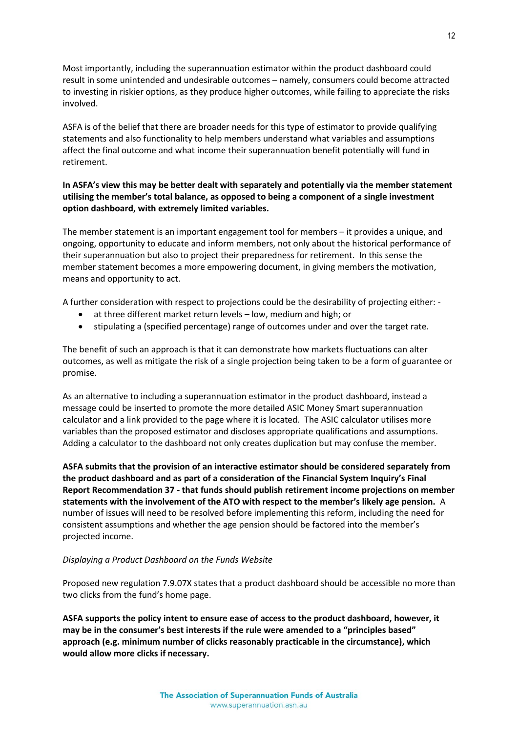Most importantly, including the superannuation estimator within the product dashboard could result in some unintended and undesirable outcomes – namely, consumers could become attracted to investing in riskier options, as they produce higher outcomes, while failing to appreciate the risks involved.

ASFA is of the belief that there are broader needs for this type of estimator to provide qualifying statements and also functionality to help members understand what variables and assumptions affect the final outcome and what income their superannuation benefit potentially will fund in retirement.

# **In ASFA's view this may be better dealt with separately and potentially via the member statement utilising the member's total balance, as opposed to being a component of a single investment option dashboard, with extremely limited variables.**

The member statement is an important engagement tool for members – it provides a unique, and ongoing, opportunity to educate and inform members, not only about the historical performance of their superannuation but also to project their preparedness for retirement. In this sense the member statement becomes a more empowering document, in giving members the motivation, means and opportunity to act.

A further consideration with respect to projections could be the desirability of projecting either: -

- at three different market return levels low, medium and high; or
- stipulating a (specified percentage) range of outcomes under and over the target rate.

The benefit of such an approach is that it can demonstrate how markets fluctuations can alter outcomes, as well as mitigate the risk of a single projection being taken to be a form of guarantee or promise.

As an alternative to including a superannuation estimator in the product dashboard, instead a message could be inserted to promote the more detailed ASIC Money Smart superannuation calculator and a link provided to the page where it is located. The ASIC calculator utilises more variables than the proposed estimator and discloses appropriate qualifications and assumptions. Adding a calculator to the dashboard not only creates duplication but may confuse the member.

**ASFA submits that the provision of an interactive estimator should be considered separately from the product dashboard and as part of a consideration of the Financial System Inquiry's Final Report Recommendation 37 - that funds should publish retirement income projections on member statements with the involvement of the ATO with respect to the member's likely age pension.** A number of issues will need to be resolved before implementing this reform, including the need for consistent assumptions and whether the age pension should be factored into the member's projected income.

#### *Displaying a Product Dashboard on the Funds Website*

Proposed new regulation 7.9.07X states that a product dashboard should be accessible no more than two clicks from the fund's home page.

**ASFA supports the policy intent to ensure ease of access to the product dashboard, however, it may be in the consumer's best interests if the rule were amended to a "principles based" approach (e.g. minimum number of clicks reasonably practicable in the circumstance), which would allow more clicks if necessary.**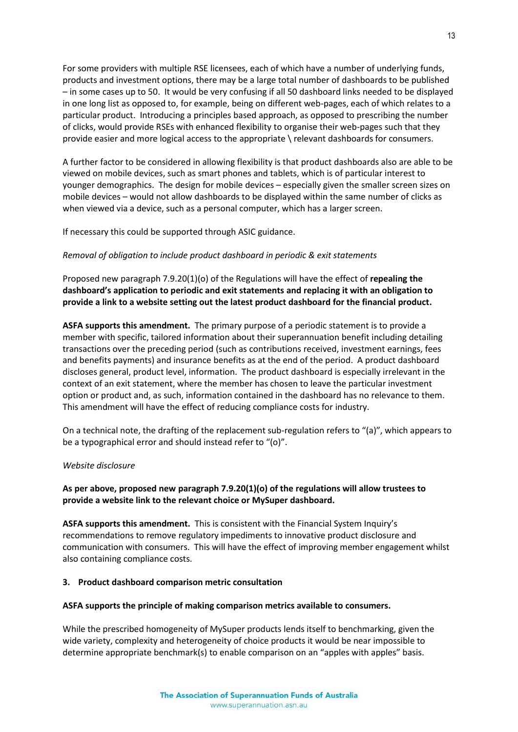For some providers with multiple RSE licensees, each of which have a number of underlying funds, products and investment options, there may be a large total number of dashboards to be published – in some cases up to 50. It would be very confusing if all 50 dashboard links needed to be displayed in one long list as opposed to, for example, being on different web-pages, each of which relates to a particular product. Introducing a principles based approach, as opposed to prescribing the number of clicks, would provide RSEs with enhanced flexibility to organise their web-pages such that they provide easier and more logical access to the appropriate \ relevant dashboards for consumers.

A further factor to be considered in allowing flexibility is that product dashboards also are able to be viewed on mobile devices, such as smart phones and tablets, which is of particular interest to younger demographics. The design for mobile devices – especially given the smaller screen sizes on mobile devices – would not allow dashboards to be displayed within the same number of clicks as when viewed via a device, such as a personal computer, which has a larger screen.

If necessary this could be supported through ASIC guidance.

# *Removal of obligation to include product dashboard in periodic & exit statements*

Proposed new paragraph 7.9.20(1)(o) of the Regulations will have the effect of **repealing the dashboard's application to periodic and exit statements and replacing it with an obligation to provide a link to a website setting out the latest product dashboard for the financial product.**

**ASFA supports this amendment.** The primary purpose of a periodic statement is to provide a member with specific, tailored information about their superannuation benefit including detailing transactions over the preceding period (such as contributions received, investment earnings, fees and benefits payments) and insurance benefits as at the end of the period. A product dashboard discloses general, product level, information. The product dashboard is especially irrelevant in the context of an exit statement, where the member has chosen to leave the particular investment option or product and, as such, information contained in the dashboard has no relevance to them. This amendment will have the effect of reducing compliance costs for industry.

On a technical note, the drafting of the replacement sub-regulation refers to "(a)", which appears to be a typographical error and should instead refer to "(o)".

# *Website disclosure*

# **As per above, proposed new paragraph 7.9.20(1)(o) of the regulations will allow trustees to provide a website link to the relevant choice or MySuper dashboard.**

**ASFA supports this amendment.** This is consistent with the Financial System Inquiry's recommendations to remove regulatory impediments to innovative product disclosure and communication with consumers. This will have the effect of improving member engagement whilst also containing compliance costs.

#### **3. Product dashboard comparison metric consultation**

# **ASFA supports the principle of making comparison metrics available to consumers.**

While the prescribed homogeneity of MySuper products lends itself to benchmarking, given the wide variety, complexity and heterogeneity of choice products it would be near impossible to determine appropriate benchmark(s) to enable comparison on an "apples with apples" basis.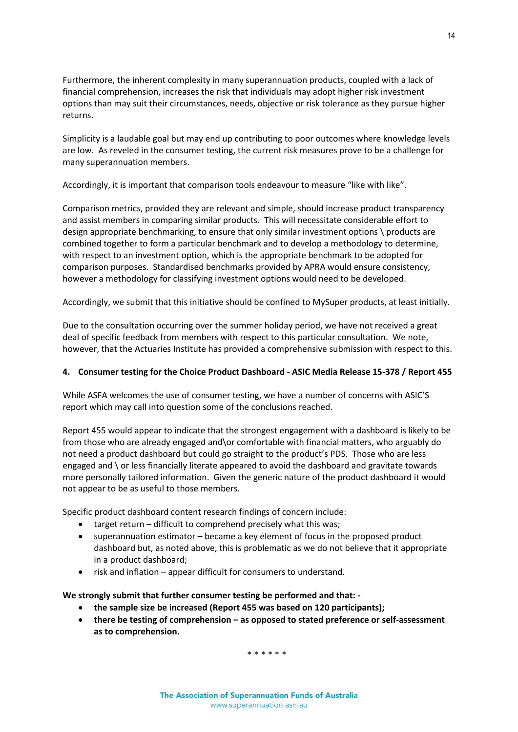Furthermore, the inherent complexity in many superannuation products, coupled with a lack of financial comprehension, increases the risk that individuals may adopt higher risk investment options than may suit their circumstances, needs, objective or risk tolerance as they pursue higher returns.

Simplicity is a laudable goal but may end up contributing to poor outcomes where knowledge levels are low. As reveled in the consumer testing, the current risk measures prove to be a challenge for many superannuation members.

Accordingly, it is important that comparison tools endeavour to measure "like with like".

Comparison metrics, provided they are relevant and simple, should increase product transparency and assist members in comparing similar products. This will necessitate considerable effort to design appropriate benchmarking, to ensure that only similar investment options \ products are combined together to form a particular benchmark and to develop a methodology to determine, with respect to an investment option, which is the appropriate benchmark to be adopted for comparison purposes. Standardised benchmarks provided by APRA would ensure consistency, however a methodology for classifying investment options would need to be developed.

Accordingly, we submit that this initiative should be confined to MySuper products, at least initially.

Due to the consultation occurring over the summer holiday period, we have not received a great deal of specific feedback from members with respect to this particular consultation. We note, however, that the Actuaries Institute has provided a comprehensive submission with respect to this.

# **4. Consumer testing for the Choice Product Dashboard - ASIC Media Release 15-378 / Report 455**

While ASFA welcomes the use of consumer testing, we have a number of concerns with ASIC'S report which may call into question some of the conclusions reached.

Report 455 would appear to indicate that the strongest engagement with a dashboard is likely to be from those who are already engaged and\or comfortable with financial matters, who arguably do not need a product dashboard but could go straight to the product's PDS. Those who are less engaged and \ or less financially literate appeared to avoid the dashboard and gravitate towards more personally tailored information. Given the generic nature of the product dashboard it would not appear to be as useful to those members.

Specific product dashboard content research findings of concern include:

- target return difficult to comprehend precisely what this was;
- superannuation estimator became a key element of focus in the proposed product dashboard but, as noted above, this is problematic as we do not believe that it appropriate in a product dashboard;
- risk and inflation appear difficult for consumers to understand.

**We strongly submit that further consumer testing be performed and that: -**

- **the sample size be increased (Report 455 was based on 120 participants);**
- **there be testing of comprehension – as opposed to stated preference or self-assessment as to comprehension.**

\* \* \* \* \* \*